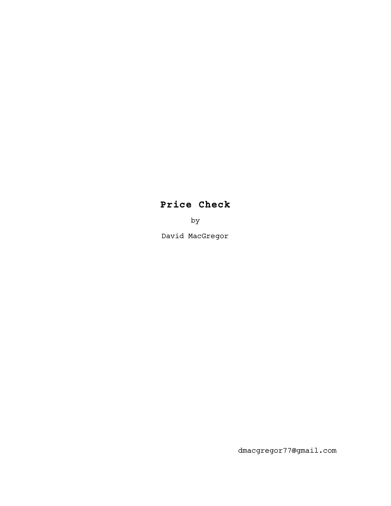# **Price Check**

by

David MacGregor

dmacgregor77@gmail.com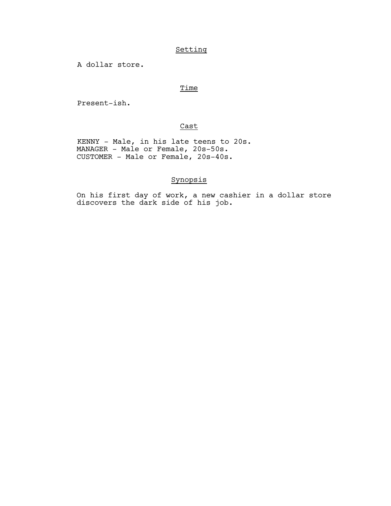## Setting

A dollar store.

## Time

Present-ish.

## Cast

 KENNY - Male, in his late teens to 20s. MANAGER - Male or Female, 20s-50s. CUSTOMER - Male or Female, 20s-40s.

## Synopsis

On his first day of work, a new cashier in a dollar store discovers the dark side of his job.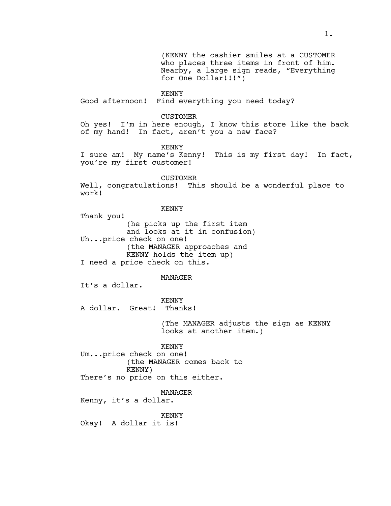(KENNY the cashier smiles at a CUSTOMER who places three items in front of him. Nearby, a large sign reads, "Everything for One Dollar!!!")

KENNY

Good afternoon! Find everything you need today?

CUSTOMER

Oh yes! I'm in here enough, I know this store like the back of my hand! In fact, aren't you a new face?

KENNY

I sure am! My name's Kenny! This is my first day! In fact, you're my first customer!

CUSTOMER Well, congratulations! This should be a wonderful place to work!

KENNY

Thank you! (he picks up the first item and looks at it in confusion) Uh...price check on one! (the MANAGER approaches and KENNY holds the item up) I need a price check on this.

MANAGER

It's a dollar.

KENNY

A dollar. Great! Thanks!

(The MANAGER adjusts the sign as KENNY looks at another item.)

KENNY Um...price check on one! (the MANAGER comes back to KENNY) There's no price on this either.

MANAGER

Kenny, it's a dollar.

KENNY Okay! A dollar it is!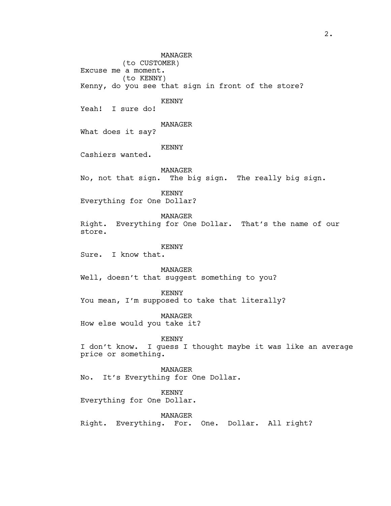MANAGER (to CUSTOMER) Excuse me a moment. (to KENNY) Kenny, do you see that sign in front of the store? KENNY Yeah! I sure do! MANAGER What does it say? KENNY Cashiers wanted. MANAGER No, not that sign. The big sign. The really big sign. KENNY Everything for One Dollar? MANAGER Right. Everything for One Dollar. That's the name of our store. KENNY Sure. I know that. MANAGER Well, doesn't that suggest something to you? KENNY You mean, I'm supposed to take that literally? MANAGER How else would you take it? KENNY I don't know. I guess I thought maybe it was like an average price or something. MANAGER No. It's Everything for One Dollar. KENNY Everything for One Dollar. MANAGER Right. Everything. For. One. Dollar. All right?

2.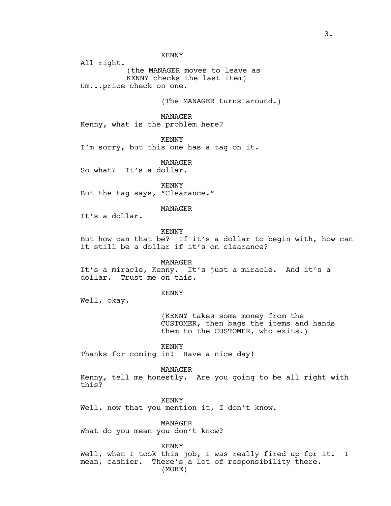All right. (the MANAGER moves to leave as KENNY checks the last item) Um...price check on one.

(The MANAGER turns around.)

MANAGER Kenny, what is the problem here?

KENNY I'm sorry, but this one has a tag on it.

MANAGER So what? It's a dollar.

KENNY But the tag says, "Clearance."

### MANAGER

It's a dollar.

## KENNY

But how can that be? If it's a dollar to begin with, how can it still be a dollar if it's on clearance?

#### MANAGER

It's a miracle, Kenny. It's just a miracle. And it's a dollar. Trust me on this.

#### KENNY

Well, okay.

(KENNY takes some money from the CUSTOMER, then bags the items and hands them to the CUSTOMER, who exits.)

KENNY

Thanks for coming in! Have a nice day!

MANAGER

Kenny, tell me honestly. Are you going to be all right with this?

KENNY

Well, now that you mention it, I don't know.

MANAGER What do you mean you don't know?

KENNY

Well, when I took this job, I was really fired up for it. I mean, cashier. There's a lot of responsibility there. (MORE)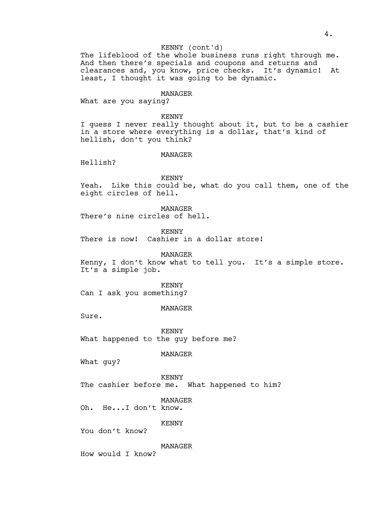## KENNY (cont'd)

The lifeblood of the whole business runs right through me. And then there's specials and coupons and returns and clearances and, you know, price checks. It's dynamic! At least, I thought it was going to be dynamic.

#### MANAGER

What are you saying?

KENNY

I guess I never really thought about it, but to be a cashier in a store where everything is a dollar, that's kind of hellish, don't you think?

## MANAGER

Hellish?

#### KENNY

Yeah. Like this could be, what do you call them, one of the eight circles of hell.

MANAGER

There's nine circles of hell.

KENNY

There is now! Cashier in a dollar store!

MANAGER Kenny, I don't know what to tell you. It's a simple store. It's a simple job.

KENNY Can I ask you something?

#### MANAGER

Sure.

KENNY What happened to the guy before me?

MANAGER

What guy?

KENNY The cashier before me. What happened to him?

MANAGER

Oh. He...I don't know.

KENNY

You don't know?

MANAGER

How would I know?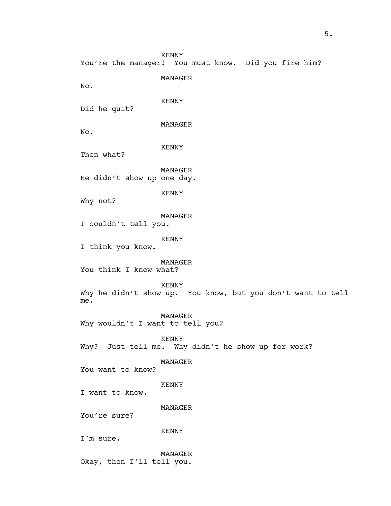You're the manager! You must know. Did you fire him?

MANAGER

No.

KENNY

Did he quit?

MANAGER

No.

KENNY

Then what?

MANAGER He didn't show up one day.

KENNY

Why not?

MANAGER

I couldn't tell you.

KENNY

I think you know.

MANAGER You think I know what?

KENNY

Why he didn't show up. You know, but you don't want to tell me.

MANAGER Why wouldn't I want to tell you?

KENNY Why? Just tell me. Why didn't he show up for work?

MANAGER

You want to know?

KENNY

I want to know.

MANAGER

You're sure?

KENNY

I'm sure.

MANAGER Okay, then I'll tell you.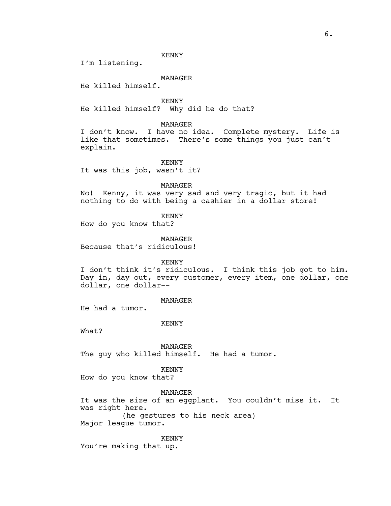I'm listening.

## MANAGER

He killed himself.

KENNY He killed himself? Why did he do that?

## MANAGER

I don't know. I have no idea. Complete mystery. Life is like that sometimes. There's some things you just can't explain.

KENNY It was this job, wasn't it?

MANAGER

No! Kenny, it was very sad and very tragic, but it had nothing to do with being a cashier in a dollar store!

KENNY

How do you know that?

MANAGER Because that's ridiculous!

KENNY

I don't think it's ridiculous. I think this job got to him. Day in, day out, every customer, every item, one dollar, one dollar, one dollar--

## MANAGER

He had a tumor.

## KENNY

What?

MANAGER The guy who killed himself. He had a tumor.

## KENNY

How do you know that?

MANAGER

It was the size of an eggplant. You couldn't miss it. It was right here. (he gestures to his neck area)

Major league tumor.

KENNY

You're making that up.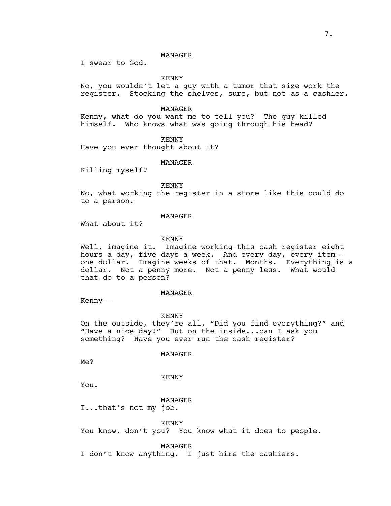### MANAGER

I swear to God.

KENNY

No, you wouldn't let a guy with a tumor that size work the register. Stocking the shelves, sure, but not as a cashier.

MANAGER

Kenny, what do you want me to tell you? The guy killed himself. Who knows what was going through his head?

KENNY

Have you ever thought about it?

MANAGER

Killing myself?

KENNY

No, what working the register in a store like this could do to a person.

## MANAGER

What about it?

## KENNY

Well, imagine it. Imagine working this cash register eight hours a day, five days a week. And every day, every item- one dollar. Imagine weeks of that. Months. Everything is a dollar. Not a penny more. Not a penny less. What would that do to a person?

#### MANAGER

Kenny--

KENNY

On the outside, they're all, "Did you find everything?" and "Have a nice day!" But on the inside...can I ask you something? Have you ever run the cash register?

## MANAGER

Me?

#### KENNY

You.

## MANAGER

I...that's not my job.

KENNY

You know, don't you? You know what it does to people.

MANAGER

I don't know anything. I just hire the cashiers.